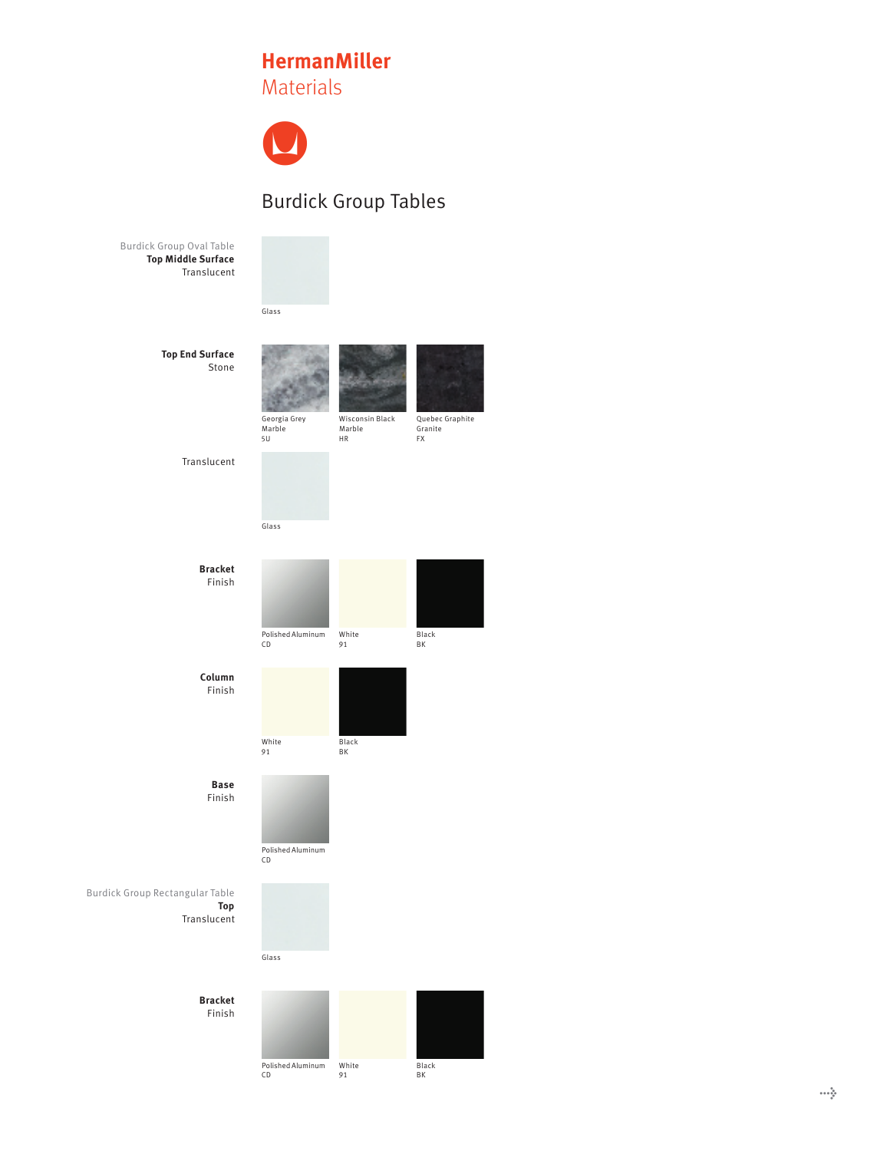## **HermanMiller HermanMiller HermanMiller**Materials Materials Materials



## Burdick Group Tables